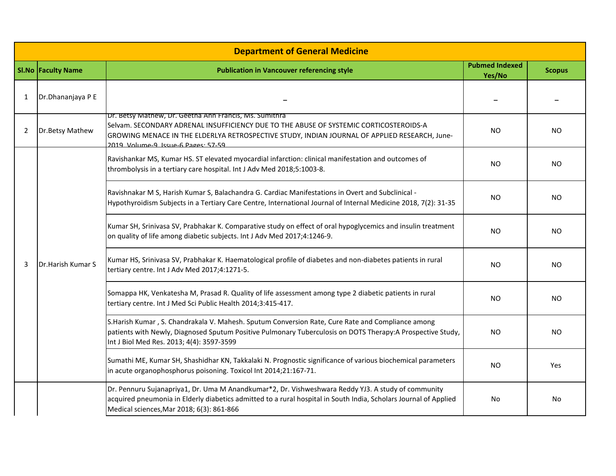| <b>Department of General Medicine</b> |                           |                                                                                                                                                                                                                                                                                         |                                 |                |  |  |  |  |
|---------------------------------------|---------------------------|-----------------------------------------------------------------------------------------------------------------------------------------------------------------------------------------------------------------------------------------------------------------------------------------|---------------------------------|----------------|--|--|--|--|
|                                       | <b>SI.No Faculty Name</b> | <b>Publication in Vancouver referencing style</b>                                                                                                                                                                                                                                       | <b>Pubmed Indexed</b><br>Yes/No | <b>Scopus</b>  |  |  |  |  |
| 1                                     | Dr.Dhananjaya P E         |                                                                                                                                                                                                                                                                                         |                                 |                |  |  |  |  |
| 2                                     | Dr.Betsy Mathew           | Dr. Betsy Mathew, Dr. Geetha Ann Francis, Ms. Sumithra<br>Selvam. SECONDARY ADRENAL INSUFFICIENCY DUE TO THE ABUSE OF SYSTEMIC CORTICOSTEROIDS-A<br>GROWING MENACE IN THE ELDERLYA RETROSPECTIVE STUDY, INDIAN JOURNAL OF APPLIED RESEARCH, June-<br>2019 Volume-9 Issue-6 Pages: 57-59 | <b>NO</b>                       | <b>NO</b>      |  |  |  |  |
| 3                                     | Dr.Harish Kumar S         | Ravishankar MS, Kumar HS. ST elevated myocardial infarction: clinical manifestation and outcomes of<br>thrombolysis in a tertiary care hospital. Int J Adv Med 2018;5:1003-8.                                                                                                           | <b>NO</b>                       | N <sub>O</sub> |  |  |  |  |
|                                       |                           | Ravishnakar M S, Harish Kumar S, Balachandra G. Cardiac Manifestations in Overt and Subclinical -<br>Hypothyroidism Subjects in a Tertiary Care Centre, International Journal of Internal Medicine 2018, 7(2): 31-35                                                                    | <b>NO</b>                       | NO             |  |  |  |  |
|                                       |                           | Kumar SH, Srinivasa SV, Prabhakar K. Comparative study on effect of oral hypoglycemics and insulin treatment<br>on quality of life among diabetic subjects. Int J Adv Med 2017;4:1246-9.                                                                                                | NO.                             | NO.            |  |  |  |  |
|                                       |                           | Kumar HS, Srinivasa SV, Prabhakar K. Haematological profile of diabetes and non-diabetes patients in rural<br>tertiary centre. Int J Adv Med 2017;4:1271-5.                                                                                                                             | <b>NO</b>                       | <b>NO</b>      |  |  |  |  |
|                                       |                           | Somappa HK, Venkatesha M, Prasad R. Quality of life assessment among type 2 diabetic patients in rural<br>tertiary centre. Int J Med Sci Public Health 2014;3:415-417.                                                                                                                  | NO.                             | N <sub>O</sub> |  |  |  |  |
|                                       |                           | S.Harish Kumar, S. Chandrakala V. Mahesh. Sputum Conversion Rate, Cure Rate and Compliance among<br>patients with Newly, Diagnosed Sputum Positive Pulmonary Tuberculosis on DOTS Therapy:A Prospective Study,<br>Int J Biol Med Res. 2013; 4(4): 3597-3599                             | NO.                             | NO.            |  |  |  |  |
|                                       |                           | Sumathi ME, Kumar SH, Shashidhar KN, Takkalaki N. Prognostic significance of various biochemical parameters<br>in acute organophosphorus poisoning. Toxicol Int 2014;21:167-71.                                                                                                         | <b>NO</b>                       | Yes            |  |  |  |  |
|                                       |                           | Dr. Pennuru Sujanapriya1, Dr. Uma M Anandkumar*2, Dr. Vishweshwara Reddy YJ3. A study of community<br>acquired pneumonia in Elderly diabetics admitted to a rural hospital in South India, Scholars Journal of Applied<br>Medical sciences, Mar 2018; 6(3): 861-866                     | No                              | No             |  |  |  |  |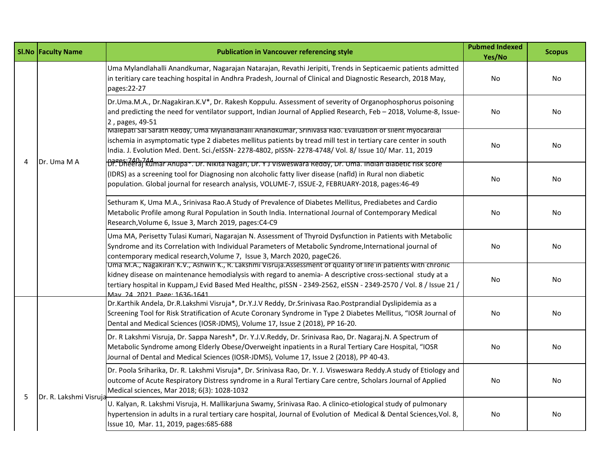|   | <b>SI.No Faculty Name</b> | <b>Publication in Vancouver referencing style</b>                                                                                                                                                                                                                                                                                                                                | <b>Pubmed Indexed</b><br>Yes/No | <b>Scopus</b> |
|---|---------------------------|----------------------------------------------------------------------------------------------------------------------------------------------------------------------------------------------------------------------------------------------------------------------------------------------------------------------------------------------------------------------------------|---------------------------------|---------------|
| 4 | Dr. Uma M A               | Uma Mylandlahalli Anandkumar, Nagarajan Natarajan, Revathi Jeripiti, Trends in Septicaemic patients admitted<br>in teritiary care teaching hospital in Andhra Pradesh, Journal of Clinical and Diagnostic Research, 2018 May,<br>pages:22-27                                                                                                                                     | No                              | No            |
|   |                           | Dr.Uma.M.A., Dr.Nagakiran.K.V*, Dr. Rakesh Koppulu. Assessment of severity of Organophosphorus poisoning<br>and predicting the need for ventilator support, Indian Journal of Applied Research, Feb – 2018, Volume-8, Issue-<br>2, pages, 49-51                                                                                                                                  | No                              | No            |
|   |                           | Ivialepati Sai Sarath Reddy, Uma Mylandianalli Anandkumar, Srinivasa Rao. Evaluation of silent myocardial<br>ischemia in asymptomatic type 2 diabetes mellitus patients by tread mill test in tertiary care center in south<br>India. J. Evolution Med. Dent. Sci./eISSN- 2278-4802, pISSN- 2278-4748/ Vol. 8/ Issue 10/ Mar. 11, 2019                                           | No                              | No            |
|   |                           | <br> Dr. Dheeraj kumar Anupa*. Dr. Nikita Nagari, Dr. Y J Visweswara Reddy, Dr. Uma. Indian diabetic risk score '<br>(IDRS) as a screening tool for Diagnosing non alcoholic fatty liver disease (nafld) in Rural non diabetic<br>population. Global journal for research analysis, VOLUME-7, ISSUE-2, FEBRUARY-2018, pages:46-49                                                | No                              | <b>No</b>     |
|   |                           | Sethuram K, Uma M.A., Srinivasa Rao.A Study of Prevalence of Diabetes Mellitus, Prediabetes and Cardio<br>Metabolic Profile among Rural Population in South India. International Journal of Contemporary Medical<br>Research, Volume 6, Issue 3, March 2019, pages: C4-C9                                                                                                        | No                              | No.           |
|   |                           | Uma MA, Perisetty Tulasi Kumari, Nagarajan N. Assessment of Thyroid Dysfunction in Patients with Metabolic<br>Syndrome and its Correlation with Individual Parameters of Metabolic Syndrome, International journal of<br>contemporary medical research, Volume 7, Issue 3, March 2020, pageC26.                                                                                  | No                              | No            |
|   |                           | Uma M.A., Nagakiran K.V., Ashwin K., R. Lakshmi Visruja.Assessment of quality of life in patients with chronic<br>kidney disease on maintenance hemodialysis with regard to anemia- A descriptive cross-sectional study at a<br>tertiary hospital in Kuppam, J Evid Based Med Healthc, pISSN - 2349-2562, eISSN - 2349-2570 / Vol. 8 / Issue 21 /<br>May 24 2021 Page: 1636-1641 | No                              | No            |
|   |                           | Dr.Karthik Andela, Dr.R.Lakshmi Visruja*, Dr.Y.J.V Reddy, Dr.Srinivasa Rao.Postprandial Dyslipidemia as a<br>Screening Tool for Risk Stratification of Acute Coronary Syndrome in Type 2 Diabetes Mellitus, "IOSR Journal of<br>Dental and Medical Sciences (IOSR-JDMS), Volume 17, Issue 2 (2018), PP 16-20.                                                                    | No                              | No            |
| 5 | Dr. R. Lakshmi Visruja    | Dr. R Lakshmi Visruja, Dr. Sappa Naresh*, Dr. Y.J.V.Reddy, Dr. Srinivasa Rao, Dr. Nagaraj.N. A Spectrum of<br>Metabolic Syndrome among Elderly Obese/Overweight inpatients in a Rural Tertiary Care Hospital, "IOSR<br>Journal of Dental and Medical Sciences (IOSR-JDMS), Volume 17, Issue 2 (2018), PP 40-43.                                                                  | No                              | No.           |
|   |                           | Dr. Poola Sriharika, Dr. R. Lakshmi Visruja*, Dr. Srinivasa Rao, Dr. Y. J. Visweswara Reddy.A study of Etiology and<br>outcome of Acute Respiratory Distress syndrome in a Rural Tertiary Care centre, Scholars Journal of Applied<br>Medical sciences, Mar 2018; 6(3): 1028-1032                                                                                                | No                              | No            |
|   |                           | U. Kalyan, R. Lakshmi Visruja, H. Mallikarjuna Swamy, Srinivasa Rao. A clinico-etiological study of pulmonary<br>hypertension in adults in a rural tertiary care hospital, Journal of Evolution of Medical & Dental Sciences, Vol. 8,<br>Issue 10, Mar. 11, 2019, pages:685-688                                                                                                  | No                              | No            |